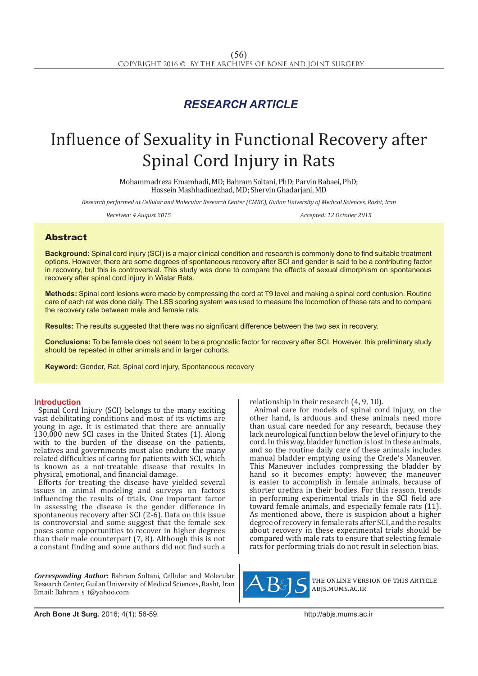# *RESEARCH ARTICLE*

# Influence of Sexuality in Functional Recovery after Spinal Cord Injury in Rats

Mohammadreza Emamhadi, MD; Bahram Soltani, PhD; Parvin Babaei, PhD; Hossein Mashhadinezhad, MD; Shervin Ghadarjani, MD

*Research performed at Cellular and Molecular Research Center (CMRC), Guilan University of Medical Sciences, Rasht, Iran*

*Received: 4 Auqust 2015 Accepted: 12 October 2015*

## Abstract

**Background:** Spinal cord injury (SCI) is a major clinical condition and research is commonly done to find suitable treatment options. However, there are some degrees of spontaneous recovery after SCI and gender is said to be a contributing factor in recovery, but this is controversial. This study was done to compare the effects of sexual dimorphism on spontaneous recovery after spinal cord injury in Wistar Rats.

**Methods:** Spinal cord lesions were made by compressing the cord at T9 level and making a spinal cord contusion. Routine care of each rat was done daily. The LSS scoring system was used to measure the locomotion of these rats and to compare the recovery rate between male and female rats.

**Results:** The results suggested that there was no significant difference between the two sex in recovery.

**Conclusions:** To be female does not seem to be a prognostic factor for recovery after SCI. However, this preliminary study should be repeated in other animals and in larger cohorts.

**Keyword:** Gender, Rat, Spinal cord injury, Spontaneous recovery

### **Introduction**

Spinal Cord Injury (SCI) belongs to the many exciting vast debilitating conditions and most of its victims are young in age. It is estimated that there are annually 130,000 new SCI cases in the United States (1). Along with to the burden of the disease on the patients, relatives and governments must also endure the many related difficulties of caring for patients with SCI, which is known as a not-treatable disease that results in physical, emotional, and financial damage.

Efforts for treating the disease have yielded several issues in animal modeling and surveys on factors influencing the results of trials. One important factor in assessing the disease is the gender difference in spontaneous recovery after SCI (2-6). Data on this issue is controversial and some suggest that the female sex poses some opportunities to recover in higher degrees than their male counterpart (7, 8). Although this is not a constant finding and some authors did not find such a

*Corresponding Author:* Bahram Soltani, Cellular and Molecular Research Center, Guilan University of Medical Sciences, Rasht, Iran Email: Bahram\_s\_t@yahoo.com

relationship in their research (4, 9, 10).

Animal care for models of spinal cord injury, on the other hand, is arduous and these animals need more than usual care needed for any research, because they lack neurological function below the level of injury to the cord. In this way, bladder function is lost in these animals, and so the routine daily care of these animals includes manual bladder emptying using the Crede's Maneuver. This Maneuver includes compressing the bladder by hand so it becomes empty; however, the maneuver is easier to accomplish in female animals, because of shorter urethra in their bodies. For this reason, trends in performing experimental trials in the SCI field are toward female animals, and especially female rats (11). As mentioned above, there is suspicion about a higher degree of recovery in female rats after SCI, and the results about recovery in these experimental trials should be compared with male rats to ensure that selecting female rats for performing trials do not result in selection bias.



the online version of this article abjs.mums.ac.ir

**Arch Bone Jt Surg.** 2016; 4(1): 56-59.http://abjs.mums.ac.ir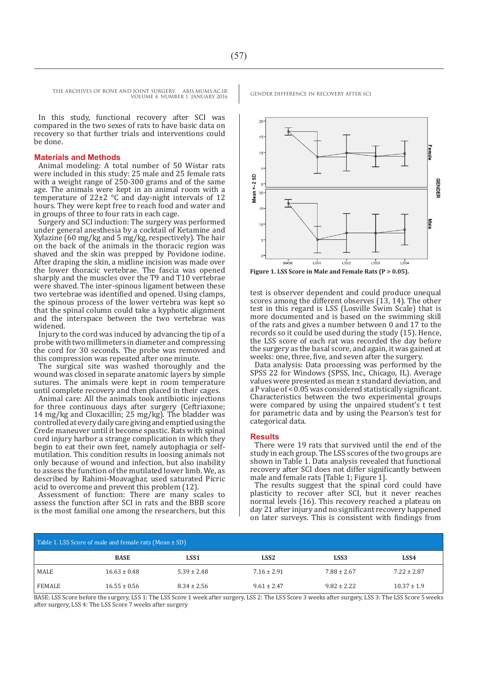In this study, functional recovery after SCI was compared in the two sexes of rats to have basic data on recovery so that further trials and interventions could be done.

#### **Materials and Methods**

Animal modeling: A total number of 50 Wistar rats were included in this study: 25 male and 25 female rats with a weight range of 250-300 grams and of the same age. The animals were kept in an animal room with a temperature of 22±2 °C and day-night intervals of 12 hours. They were kept free to reach food and water and in groups of three to four rats in each cage.

Surgery and SCI induction: The surgery was performed under general anesthesia by a cocktail of Ketamine and Xylazine (60 mg/kg and 5 mg/kg, respectively). The hair on the back of the animals in the thoracic region was shaved and the skin was prepped by Povidone iodine. After draping the skin, a midline incision was made over the lower thoracic vertebrae. The fascia was opened sharply and the muscles over the T9 and T10 vertebrae were shaved. The inter-spinous ligament between these two vertebrae was identified and opened. Using clamps, the spinous process of the lower vertebra was kept so that the spinal column could take a kyphotic alignment and the interspace between the two vertebrae was widened.

Injury to the cord was induced by advancing the tip of a probe with two millimeters in diameter and compressing the cord for 30 seconds. The probe was removed and this compression was repeated after one minute.

The surgical site was washed thoroughly and the wound was closed in separate anatomic layers by simple sutures. The animals were kept in room temperature until complete recovery and then placed in their cages.

Animal care: All the animals took antibiotic injections for three continuous days after surgery (Ceftriaxone; 14 mg/kg and Cloxacillin; 25 mg/kg). The bladder was controlled at every daily care giving and emptied using the Crede maneuver until it become spastic. Rats with spinal cord injury harbor a strange complication in which they begin to eat their own feet, namely autophagia or selfmutilation. This condition results in loosing animals not only because of wound and infection, but also inability to assess the function of the mutilated lower limb. We, as described by Rahimi-Moavaghar, used saturated Picric acid to overcome and prevent this problem (12).

Assessment of function: There are many scales to assess the function after SCI in rats and the BBB score is the most familial one among the researchers, but this



**Figure 1. LSS Score in Male and Female Rats (P > 0.05).**

test is observer dependent and could produce unequal scores among the different observes (13, 14). The other test in this regard is LSS (Losville Swim Scale) that is more documented and is based on the swimming skill of the rats and gives a number between 0 and 17 to the records so it could be used during the study (15). Hence, the LSS score of each rat was recorded the day before the surgery as the basal score, and again, it was gained at weeks: one, three, five, and seven after the surgery.

Data analysis: Data processing was performed by the SPSS 22 for Windows (SPSS, Inc., Chicago, IL). Average values were presented as mean ± standard deviation, and a P value of < 0.05 was considered statistically significant. Characteristics between the two experimental groups were compared by using the unpaired student's t test for parametric data and by using the Pearson's test for categorical data.

#### **Results**

There were 19 rats that survived until the end of the study in each group. The LSS scores of the two groups are shown in Table 1. Data analysis revealed that functional recovery after SCI does not differ significantly between male and female rats [Table 1; Figure 1].

The results suggest that the spinal cord could have plasticity to recover after SCI, but it never reaches normal levels (16). This recovery reached a plateau on day 21 after injury and no significant recovery happened on later surveys. This is consistent with findings from

| Table 1. LSS Score of male and female rats (Mean $\pm$ SD) |                  |                  |                  |                  |                 |
|------------------------------------------------------------|------------------|------------------|------------------|------------------|-----------------|
|                                                            | <b>BASE</b>      | LSS <sub>1</sub> | LSS <sub>2</sub> | LSS <sub>3</sub> | LSS4            |
| MALE                                                       | $16.63 \pm 0.48$ | $5.39 \pm 2.48$  | $7.16 \pm 2.91$  | $7.88 \pm 2.67$  | $7.22 \pm 2.87$ |
| FEMALE                                                     | $16.55 \pm 0.56$ | $8.34 \pm 2.56$  | $9.61 \pm 2.47$  | $9.82 \pm 2.22$  | $10.37 \pm 1.9$ |

BASE: LSS Score before the surgery, LSS 1: The LSS Score 1 week after surgery, LSS 2: The LSS Score 3 weeks after surgery, LSS 3: The LSS Score 5 weeks after surgery, LSS 4: The LSS Score 7 weeks after surgery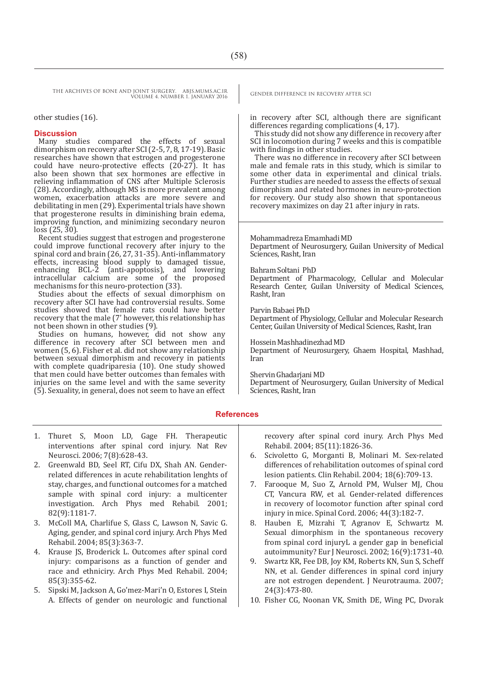THE ARCHIVES OF BONE AND JOINT SURGERY. ABJS.MUMS.AC.IR GENDER DIFFERENCE IN RECOVERY AFTER SCI VOLUME 4. NUMBER 1. JANUARY 2016

other studies (16).

#### **Discussion**

Many studies compared the effects of sexual dimorphism on recovery after SCI (2-5, 7, 8, 17-19). Basic researches have shown that estrogen and progesterone could have neuro-protective effects  $(20-27)$ . It has also been shown that sex hormones are effective in relieving inflammation of CNS after Multiple Sclerosis (28). Accordingly, although MS is more prevalent among women, exacerbation attacks are more severe and debilitating in men (29). Experimental trials have shown that progesterone results in diminishing brain edema, improving function, and minimizing secondary neuron loss (25, 30).

Recent studies suggest that estrogen and progesterone could improve functional recovery after injury to the spinal cord and brain (26, 27, 31-35). Anti-inflammatory effects, increasing blood supply to damaged tissue, enhancing BCL-2 (anti-apoptosis), and lowering intracellular calcium are some of the proposed mechanisms for this neuro-protection (33).

Studies about the effects of sexual dimorphism on recovery after SCI have had controversial results. Some studies showed that female rats could have better recovery that the male (7' however, this relationship has not been shown in other studies (9).

Studies on humans, however, did not show any difference in recovery after SCI between men and women (5, 6). Fisher et al. did not show any relationship between sexual dimorphism and recovery in patients with complete quadriparesia (10). One study showed that men could have better outcomes than females with injuries on the same level and with the same severity (5). Sexuality, in general, does not seem to have an effect

in recovery after SCI, although there are significant differences regarding complications (4, 17).

This study did not show any difference in recovery after SCI in locomotion during 7 weeks and this is compatible with findings in other studies.

There was no difference in recovery after SCI between male and female rats in this study, which is similar to some other data in experimental and clinical trials. Further studies are needed to assess the effects of sexual dimorphism and related hormones in neuro-protection for recovery. Our study also shown that spontaneous recovery maximizes on day 21 after injury in rats.

Mohammadreza Emamhadi MD Department of Neurosurgery, Guilan University of Medical Sciences, Rasht, Iran

#### Bahram Soltani PhD

Department of Pharmacology, Cellular and Molecular Research Center, Guilan University of Medical Sciences, Rasht, Iran

Parvin Babaei PhD

Department of Physiology, Cellular and Molecular Research Center, Guilan University of Medical Sciences, Rasht, Iran

Hossein Mashhadinezhad MD Department of Neurosurgery, Ghaem Hospital, Mashhad, Iran

Shervin Ghadarjani MD

Department of Neurosurgery, Guilan University of Medical Sciences, Rasht, Iran

#### **References**

- 1. Thuret S, Moon LD, Gage FH. Therapeutic interventions after spinal cord injury. Nat Rev Neurosci. 2006; 7(8):628-43.
- 2. Greenwald BD, Seel RT, Cifu DX, Shah AN. Genderrelated differences in acute rehabilitation lenghts of stay, charges, and functional outcomes for a matched sample with spinal cord injury: a multicenter investigation. Arch Phys med Rehabil. 2001; 82(9):1181-7.
- McColl MA, Charlifue S, Glass C, Lawson N, Savic G. Aging, gender, and spinal cord injury. Arch Phys Med Rehabil. 2004; 85(3):363-7.
- 4. Krause JS, Broderick L. Outcomes after spinal cord injury: comparisons as a function of gender and race and ethniciry. Arch Phys Med Rehabil. 2004; 85(3):355-62.
- 5. Sipski M, Jackson A, Go'mez-Mari'n O, Estores I, Stein A. Effects of gender on neurologic and functional

recovery after spinal cord inury. Arch Phys Med Rehabil. 2004; 85(11):1826-36.

- 6. Scivoletto G, Morganti B, Molinari M. Sex-related differences of rehabilitation outcomes of spinal cord lesion patients. Clin Rehabil. 2004; 18(6):709-13.
- 7. Farooque M, Suo Z, Arnold PM, Wulser MJ, Chou CT, Vancura RW, et al. Gender-related differences in recovery of locomotor function after spinal cord injury in mice. Spinal Cord. 2006; 44(3):182-7.
- 8. Hauben E, Mizrahi T, Agranov E, Schwartz M. Sexual dimorphism in the spontaneous recovery from spinal cord injuryL a gender gap in beneficial autoimmunity? Eur J Neurosci. 2002; 16(9):1731-40.
- 9. Swartz KR, Fee DB, Joy KM, Roberts KN, Sun S, Scheff NN, et al. Gender differences in spinal cord injury are not estrogen dependent. J Neurotrauma. 2007; 24(3):473-80.
- 10. Fisher CG, Noonan VK, Smith DE, Wing PC, Dvorak